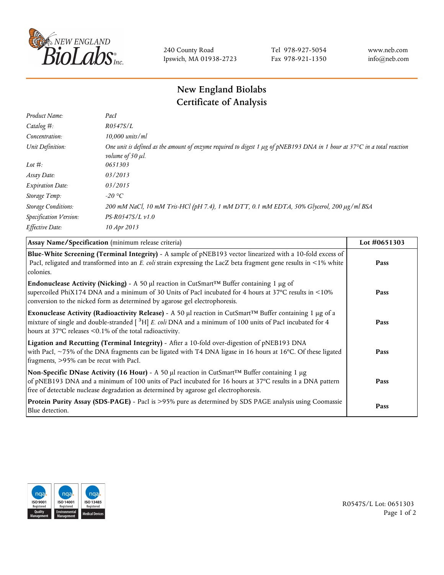

240 County Road Ipswich, MA 01938-2723 Tel 978-927-5054 Fax 978-921-1350 www.neb.com info@neb.com

## **New England Biolabs Certificate of Analysis**

| Product Name:              | PacI                                                                                                                                                                    |
|----------------------------|-------------------------------------------------------------------------------------------------------------------------------------------------------------------------|
| Catalog $#$ :              | R0547S/L                                                                                                                                                                |
| Concentration:             | $10,000$ units/ml                                                                                                                                                       |
| Unit Definition:           | One unit is defined as the amount of enzyme required to digest 1 $\mu$ g of pNEB193 DNA in 1 hour at 37°C in a total reaction<br><i>volume of 50 <math>\mu</math>l.</i> |
| Lot $#$ :                  | 0651303                                                                                                                                                                 |
| Assay Date:                | 03/2013                                                                                                                                                                 |
| <b>Expiration Date:</b>    | 03/2015                                                                                                                                                                 |
| Storage Temp:              | $-20$ °C                                                                                                                                                                |
| <b>Storage Conditions:</b> | 200 mM NaCl, 10 mM Tris-HCl (pH 7.4), 1 mM DTT, 0.1 mM EDTA, 50% Glycerol, 200 µg/ml BSA                                                                                |
| Specification Version:     | $PS-R0547S/L \nu 1.0$                                                                                                                                                   |
| Effective Date:            | 10 Apr 2013                                                                                                                                                             |
|                            |                                                                                                                                                                         |

| Assay Name/Specification (minimum release criteria)                                                                                                                                                                                                                                                                        | Lot #0651303 |
|----------------------------------------------------------------------------------------------------------------------------------------------------------------------------------------------------------------------------------------------------------------------------------------------------------------------------|--------------|
| Blue-White Screening (Terminal Integrity) - A sample of pNEB193 vector linearized with a 10-fold excess of<br>PacI, religated and transformed into an E. coli strain expressing the LacZ beta fragment gene results in <1% white<br>colonies.                                                                              | Pass         |
| <b>Endonuclease Activity (Nicking)</b> - A 50 µl reaction in CutSmart <sup>TM</sup> Buffer containing 1 µg of<br>supercoiled PhiX174 DNA and a minimum of 30 Units of PacI incubated for 4 hours at 37°C results in <10%<br>conversion to the nicked form as determined by agarose gel electrophoresis.                    | Pass         |
| Exonuclease Activity (Radioactivity Release) - A 50 $\mu$ l reaction in CutSmart <sup>TM</sup> Buffer containing 1 $\mu$ g of a<br>mixture of single and double-stranded $[$ <sup>3</sup> H $]$ E. coli DNA and a minimum of 100 units of PacI incubated for 4<br>hours at 37°C releases <0.1% of the total radioactivity. | Pass         |
| Ligation and Recutting (Terminal Integrity) - After a 10-fold over-digestion of pNEB193 DNA<br>with PacI, ~75% of the DNA fragments can be ligated with T4 DNA ligase in 16 hours at 16°C. Of these ligated<br>fragments, >95% can be recut with PacI.                                                                     | Pass         |
| Non-Specific DNase Activity (16 Hour) - A 50 $\mu$ l reaction in CutSmart <sup>TM</sup> Buffer containing 1 $\mu$ g<br>of pNEB193 DNA and a minimum of 100 units of PacI incubated for 16 hours at 37°C results in a DNA pattern<br>free of detectable nuclease degradation as determined by agarose gel electrophoresis.  | Pass         |
| Protein Purity Assay (SDS-PAGE) - PacI is >95% pure as determined by SDS PAGE analysis using Coomassie<br>Blue detection.                                                                                                                                                                                                  | Pass         |



R0547S/L Lot: 0651303 Page 1 of 2